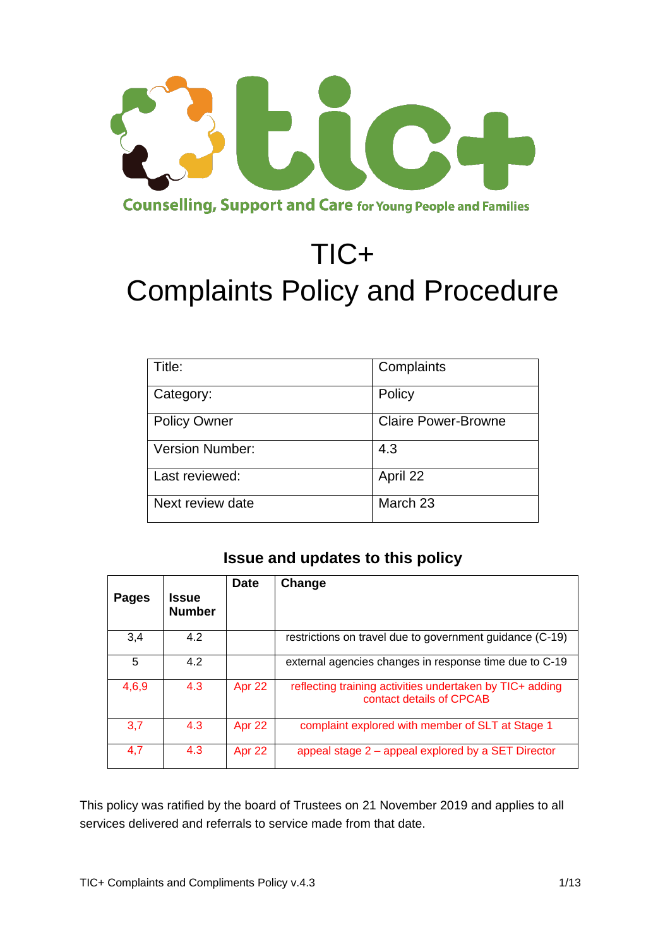

# TIC+ Complaints Policy and Procedure

| Title:              | Complaints                 |
|---------------------|----------------------------|
| Category:           | Policy                     |
| <b>Policy Owner</b> | <b>Claire Power-Browne</b> |
| Version Number:     | 4.3                        |
| Last reviewed:      | April 22                   |
| Next review date    | March 23                   |

# **Issue and updates to this policy**

| <b>Pages</b> | <b>Issue</b><br><b>Number</b> | <b>Date</b> | Change                                                                               |
|--------------|-------------------------------|-------------|--------------------------------------------------------------------------------------|
| 3,4          | 4.2                           |             | restrictions on travel due to government guidance (C-19)                             |
| 5            | 4.2                           |             | external agencies changes in response time due to C-19                               |
| 4,6,9        | 4.3                           | Apr 22      | reflecting training activities undertaken by TIC+ adding<br>contact details of CPCAB |
| 3,7          | 4.3                           | Apr 22      | complaint explored with member of SLT at Stage 1                                     |
| 4,7          | 4.3                           | Apr 22      | appeal stage 2 – appeal explored by a SET Director                                   |

This policy was ratified by the board of Trustees on 21 November 2019 and applies to all services delivered and referrals to service made from that date.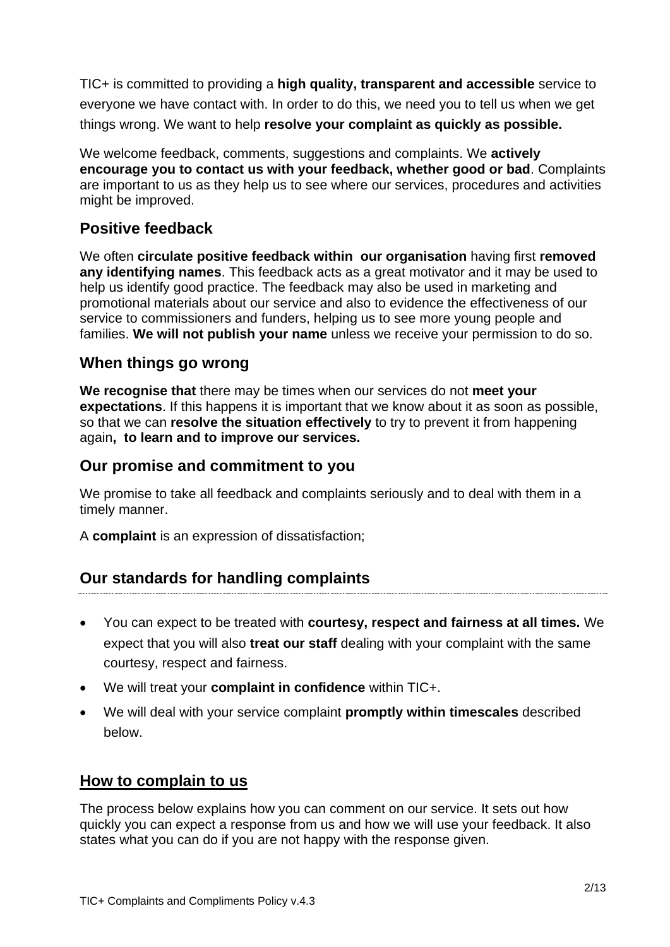TIC+ is committed to providing a **high quality, transparent and accessible** service to everyone we have contact with. In order to do this, we need you to tell us when we get things wrong. We want to help **resolve your complaint as quickly as possible.**

We welcome feedback, comments, suggestions and complaints. We **actively encourage you to contact us with your feedback, whether good or bad**. Complaints are important to us as they help us to see where our services, procedures and activities might be improved.

# **Positive feedback**

We often **circulate positive feedback within our organisation** having first **removed any identifying names**. This feedback acts as a great motivator and it may be used to help us identify good practice. The feedback may also be used in marketing and promotional materials about our service and also to evidence the effectiveness of our service to commissioners and funders, helping us to see more young people and families. **We will not publish your name** unless we receive your permission to do so.

# **When things go wrong**

**We recognise that** there may be times when our services do not **meet your expectations**. If this happens it is important that we know about it as soon as possible, so that we can **resolve the situation effectively** to try to prevent it from happening again**, to learn and to improve our services.** 

## **Our promise and commitment to you**

We promise to take all feedback and complaints seriously and to deal with them in a timely manner.

A **complaint** is an expression of dissatisfaction;

# **Our standards for handling complaints**

- You can expect to be treated with **courtesy, respect and fairness at all times.** We expect that you will also **treat our staff** dealing with your complaint with the same courtesy, respect and fairness.
- We will treat your **complaint in confidence** within TIC+.
- We will deal with your service complaint **promptly within timescales** described below.

# **How to complain to us**

The process below explains how you can comment on our service. It sets out how quickly you can expect a response from us and how we will use your feedback. It also states what you can do if you are not happy with the response given.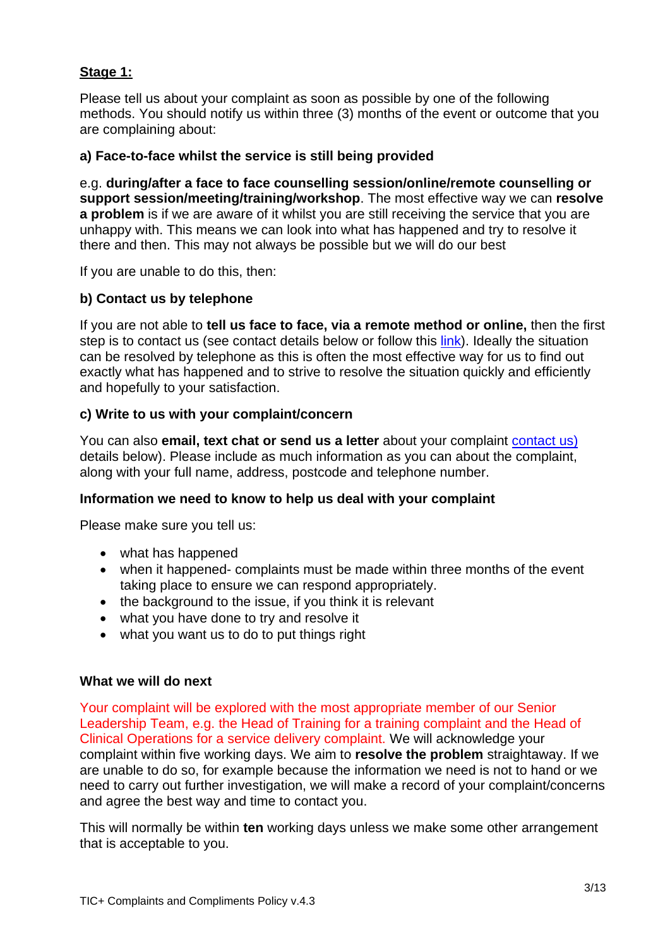## **Stage 1:**

Please tell us about your complaint as soon as possible by one of the following methods. You should notify us within three (3) months of the event or outcome that you are complaining about:

#### **a) Face-to-face whilst the service is still being provided**

e.g. **during/after a face to face counselling session/online/remote counselling or support session/meeting/training/workshop**. The most effective way we can **resolve a problem** is if we are aware of it whilst you are still receiving the service that you are unhappy with. This means we can look into what has happened and try to resolve it there and then. This may not always be possible but we will do our best

If you are unable to do this, then:

#### **b) Contact us by telephone**

If you are not able to **tell us face to face, via a remote method or online,** then the first step is to contact us (see contact details below or follow this [link\)](https://ticplus.org.uk/contact/). Ideally the situation can be resolved by telephone as this is often the most effective way for us to find out exactly what has happened and to strive to resolve the situation quickly and efficiently and hopefully to your satisfaction.

#### **c) Write to us with your complaint/concern**

You can also **email, text chat or send us a letter** about your complaint [contact us\)](https://ticplus.org.uk/contact/) details below). Please include as much information as you can about the complaint, along with your full name, address, postcode and telephone number.

#### **Information we need to know to help us deal with your complaint**

Please make sure you tell us:

- what has happened
- when it happened- complaints must be made within three months of the event taking place to ensure we can respond appropriately.
- the background to the issue, if you think it is relevant
- what you have done to try and resolve it
- what you want us to do to put things right

#### **What we will do next**

Your complaint will be explored with the most appropriate member of our Senior Leadership Team, e.g. the Head of Training for a training complaint and the Head of Clinical Operations for a service delivery complaint. We will acknowledge your complaint within five working days. We aim to **resolve the problem** straightaway. If we are unable to do so, for example because the information we need is not to hand or we need to carry out further investigation, we will make a record of your complaint/concerns and agree the best way and time to contact you.

This will normally be within **ten** working days unless we make some other arrangement that is acceptable to you.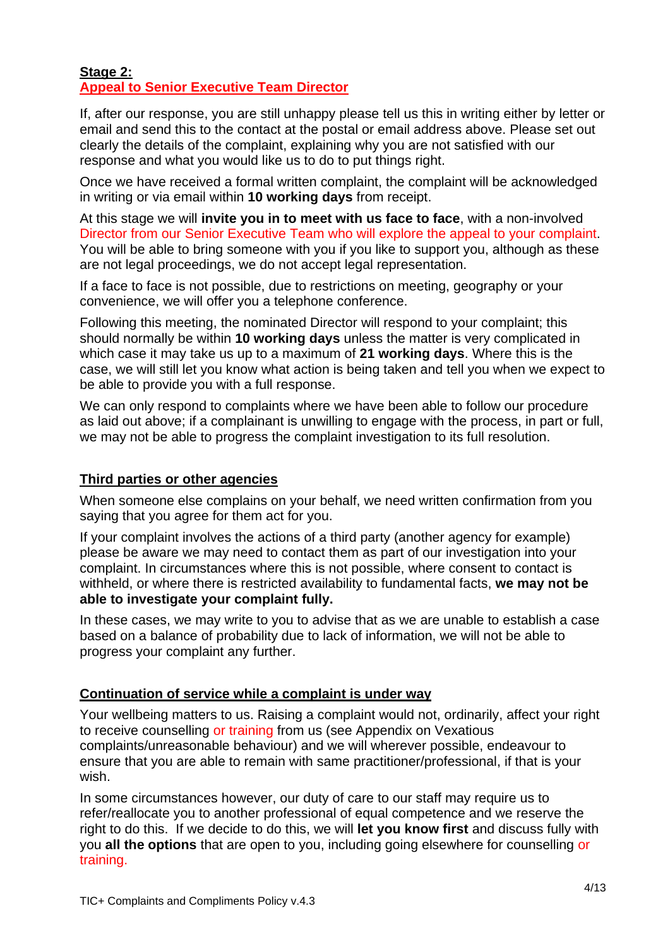#### **Stage 2: Appeal to Senior Executive Team Director**

If, after our response, you are still unhappy please tell us this in writing either by letter or email and send this to the contact at the postal or email address above. Please set out clearly the details of the complaint, explaining why you are not satisfied with our response and what you would like us to do to put things right.

Once we have received a formal written complaint, the complaint will be acknowledged in writing or via email within **10 working days** from receipt.

At this stage we will **invite you in to meet with us face to face**, with a non-involved Director from our Senior Executive Team who will explore the appeal to your complaint. You will be able to bring someone with you if you like to support you, although as these are not legal proceedings, we do not accept legal representation.

If a face to face is not possible, due to restrictions on meeting, geography or your convenience, we will offer you a telephone conference.

Following this meeting, the nominated Director will respond to your complaint; this should normally be within **10 working days** unless the matter is very complicated in which case it may take us up to a maximum of **21 working days**. Where this is the case, we will still let you know what action is being taken and tell you when we expect to be able to provide you with a full response.

We can only respond to complaints where we have been able to follow our procedure as laid out above; if a complainant is unwilling to engage with the process, in part or full, we may not be able to progress the complaint investigation to its full resolution.

## **Third parties or other agencies**

When someone else complains on your behalf, we need written confirmation from you saying that you agree for them act for you.

If your complaint involves the actions of a third party (another agency for example) please be aware we may need to contact them as part of our investigation into your complaint. In circumstances where this is not possible, where consent to contact is withheld, or where there is restricted availability to fundamental facts, **we may not be able to investigate your complaint fully.** 

In these cases, we may write to you to advise that as we are unable to establish a case based on a balance of probability due to lack of information, we will not be able to progress your complaint any further.

## **Continuation of service while a complaint is under way**

Your wellbeing matters to us. Raising a complaint would not, ordinarily, affect your right to receive counselling or training from us (see Appendix on Vexatious complaints/unreasonable behaviour) and we will wherever possible, endeavour to ensure that you are able to remain with same practitioner/professional, if that is your wish.

In some circumstances however, our duty of care to our staff may require us to refer/reallocate you to another professional of equal competence and we reserve the right to do this. If we decide to do this, we will **let you know first** and discuss fully with you **all the options** that are open to you, including going elsewhere for counselling or training.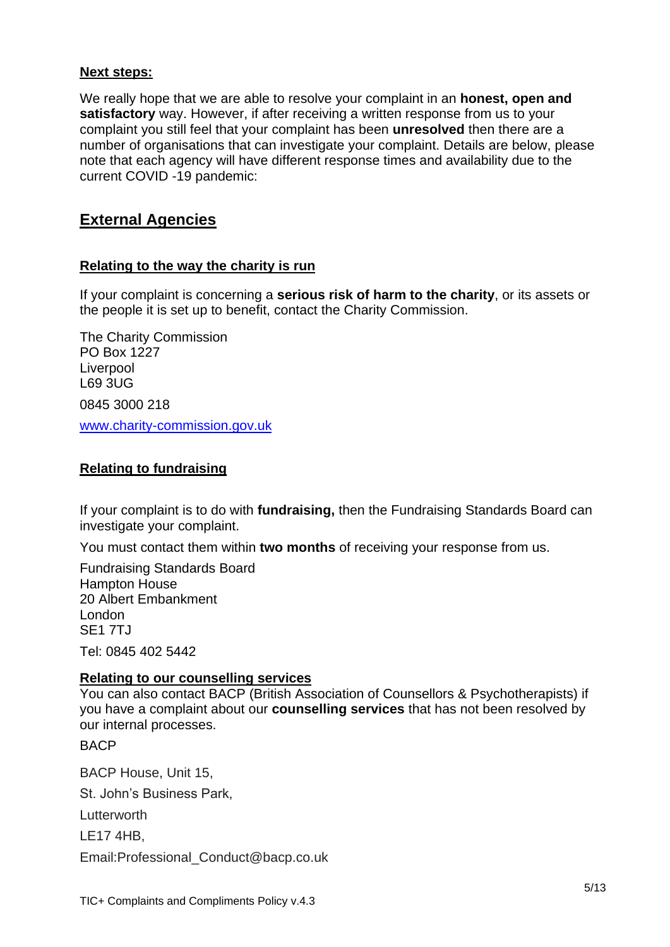#### **Next steps:**

We really hope that we are able to resolve your complaint in an **honest, open and satisfactory** way. However, if after receiving a written response from us to your complaint you still feel that your complaint has been **unresolved** then there are a number of organisations that can investigate your complaint. Details are below, please note that each agency will have different response times and availability due to the current COVID -19 pandemic:

## **External Agencies**

#### **Relating to the way the charity is run**

If your complaint is concerning a **serious risk of harm to the charity**, or its assets or the people it is set up to benefit, contact the Charity Commission.

The Charity Commission PO Box 1227 Liverpool L69 3UG 0845 3000 218 www.charity-commission.gov.uk

### **Relating to fundraising**

If your complaint is to do with **fundraising,** then the Fundraising Standards Board can investigate your complaint.

You must contact them within **two months** of receiving your response from us.

Fundraising Standards Board Hampton House 20 Albert Embankment London SE1 7TJ

Tel: 0845 402 5442

#### **Relating to our counselling services**

You can also contact BACP (British Association of Counsellors & Psychotherapists) if you have a complaint about our **counselling services** that has not been resolved by our internal processes.

**BACP** 

BACP House, Unit 15, St. John's Business Park, Lutterworth LE17 4HB,

Email:Professional\_Conduct@bacp.co.uk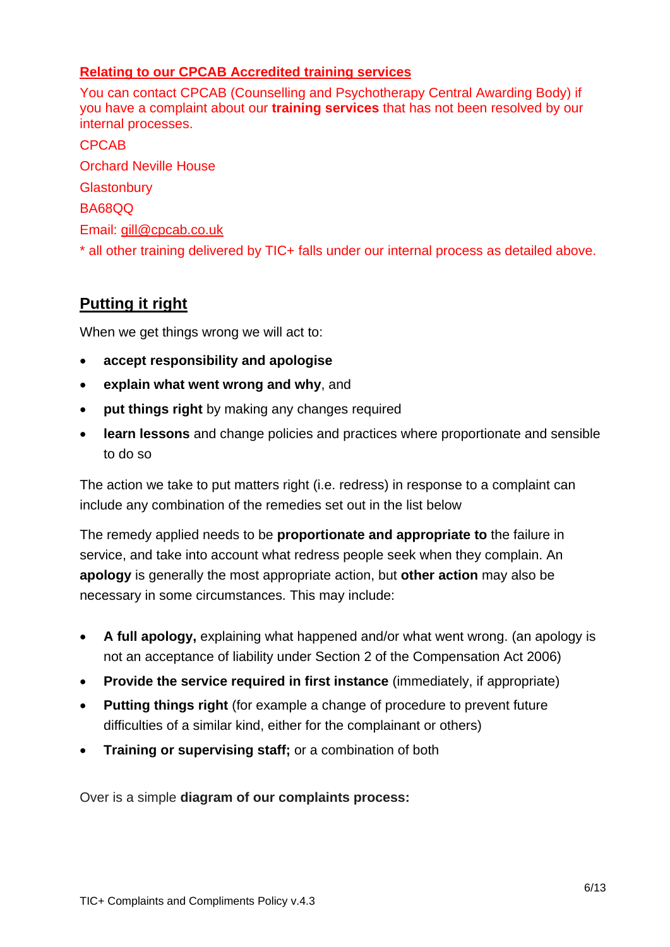## **Relating to our CPCAB Accredited training services**

You can contact CPCAB (Counselling and Psychotherapy Central Awarding Body) if you have a complaint about our **training services** that has not been resolved by our internal processes.

CPCAB Orchard Neville House **Glastonbury** BA68QQ Email: [gill@cpcab.co.uk](mailto:gill@cpcab.co.uk) \* all other training delivered by TIC+ falls under our internal process as detailed above.

# **Putting it right**

When we get things wrong we will act to:

- **accept responsibility and apologise**
- **explain what went wrong and why**, and
- **put things right** by making any changes required
- **learn lessons** and change policies and practices where proportionate and sensible to do so

The action we take to put matters right (i.e. redress) in response to a complaint can include any combination of the remedies set out in the list below

The remedy applied needs to be **proportionate and appropriate to** the failure in service, and take into account what redress people seek when they complain. An **apology** is generally the most appropriate action, but **other action** may also be necessary in some circumstances. This may include:

- **A full apology,** explaining what happened and/or what went wrong. (an apology is not an acceptance of liability under Section 2 of the Compensation Act 2006)
- **Provide the service required in first instance** (immediately, if appropriate)
- **Putting things right** (for example a change of procedure to prevent future difficulties of a similar kind, either for the complainant or others)
- **Training or supervising staff;** or a combination of both

Over is a simple **diagram of our complaints process:**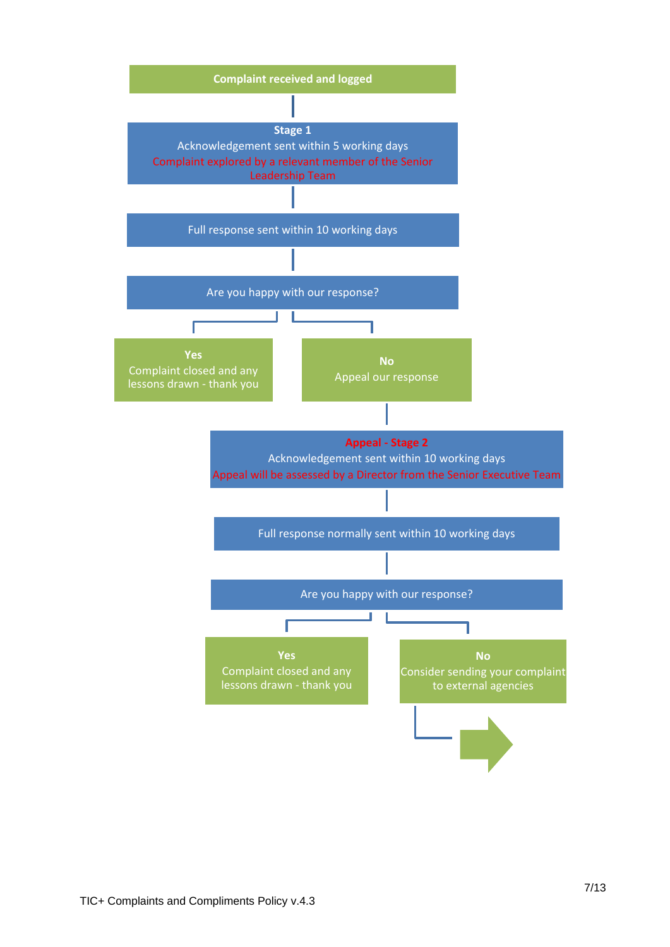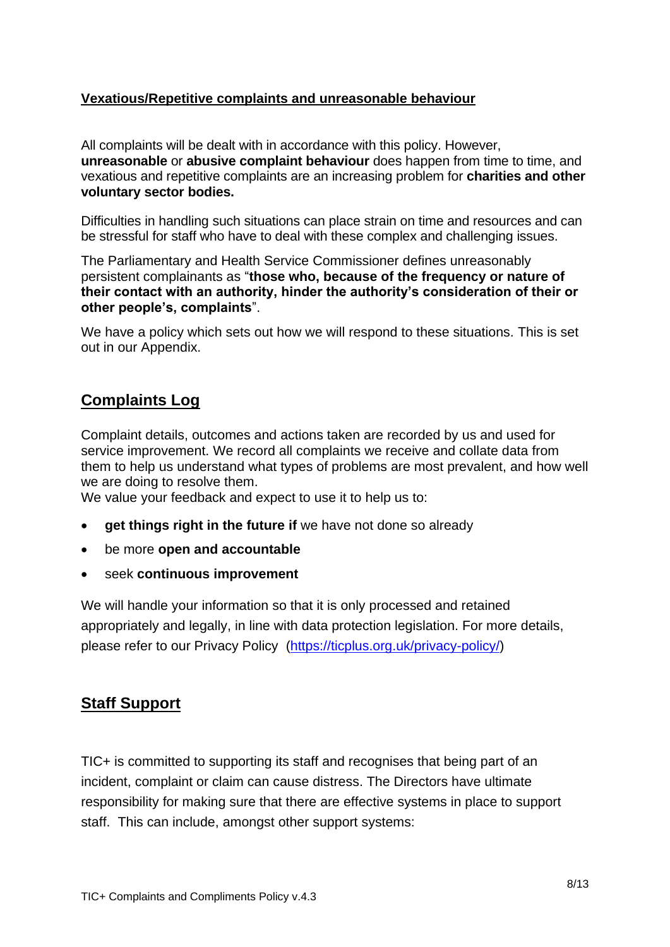## **Vexatious/Repetitive complaints and unreasonable behaviour**

All complaints will be dealt with in accordance with this policy. However, **unreasonable** or **abusive complaint behaviour** does happen from time to time, and vexatious and repetitive complaints are an increasing problem for **charities and other voluntary sector bodies.** 

Difficulties in handling such situations can place strain on time and resources and can be stressful for staff who have to deal with these complex and challenging issues.

The Parliamentary and Health Service Commissioner defines unreasonably persistent complainants as "**those who, because of the frequency or nature of their contact with an authority, hinder the authority's consideration of their or other people's, complaints**".

We have a policy which sets out how we will respond to these situations. This is set out in our Appendix.

# **Complaints Log**

Complaint details, outcomes and actions taken are recorded by us and used for service improvement. We record all complaints we receive and collate data from them to help us understand what types of problems are most prevalent, and how well we are doing to resolve them.

We value your feedback and expect to use it to help us to:

- **aet things right in the future if** we have not done so already
- be more **open and accountable**
- seek **continuous improvement**

We will handle your information so that it is only processed and retained appropriately and legally, in line with data protection legislation. For more details, please refer to our Privacy Policy [\(https://ticplus.org.uk/privacy-policy/\)](https://ticplus.org.uk/privacy-policy/)

# **Staff Support**

TIC+ is committed to supporting its staff and recognises that being part of an incident, complaint or claim can cause distress. The Directors have ultimate responsibility for making sure that there are effective systems in place to support staff. This can include, amongst other support systems: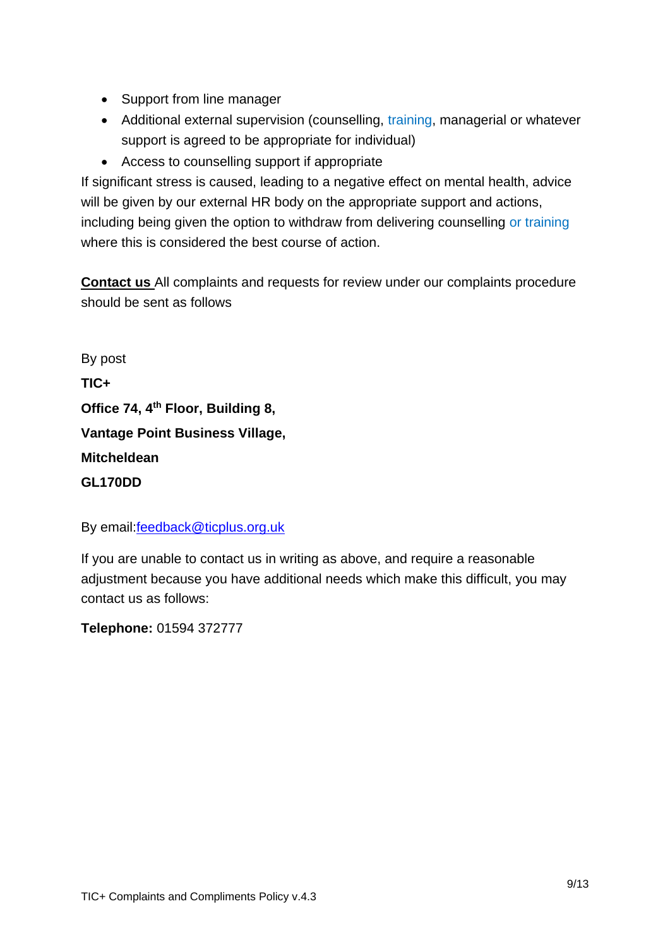- Support from line manager
- Additional external supervision (counselling, training, managerial or whatever support is agreed to be appropriate for individual)
- Access to counselling support if appropriate

If significant stress is caused, leading to a negative effect on mental health, advice will be given by our external HR body on the appropriate support and actions, including being given the option to withdraw from delivering counselling or training where this is considered the best course of action.

**Contact us** All complaints and requests for review under our complaints procedure should be sent as follows

By post **TIC+ Office 74, 4th Floor, Building 8, Vantage Point Business Village, Mitcheldean GL170DD**

By email[:feedback@ticplus.org.uk](mailto:feedback@ticplus.org.uk)

If you are unable to contact us in writing as above, and require a reasonable adjustment because you have additional needs which make this difficult, you may contact us as follows:

**Telephone:** 01594 372777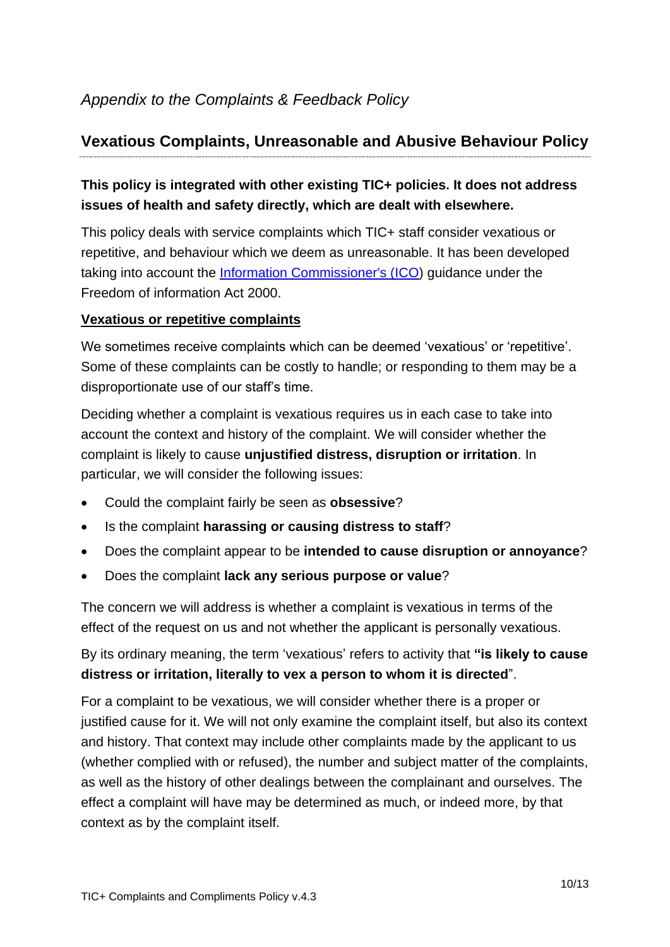# **Vexatious Complaints, Unreasonable and Abusive Behaviour Policy**

# **This policy is integrated with other existing TIC+ policies. It does not address issues of health and safety directly, which are dealt with elsewhere.**

This policy deals with service complaints which TIC+ staff consider vexatious or repetitive, and behaviour which we deem as unreasonable. It has been developed taking into account the [Information Commissioner's \(ICO\)](http://www.ico.gov.uk/) guidance under the Freedom of information Act 2000.

## **Vexatious or repetitive complaints**

We sometimes receive complaints which can be deemed 'vexatious' or 'repetitive'. Some of these complaints can be costly to handle; or responding to them may be a disproportionate use of our staff's time.

Deciding whether a complaint is vexatious requires us in each case to take into account the context and history of the complaint. We will consider whether the complaint is likely to cause **unjustified distress, disruption or irritation**. In particular, we will consider the following issues:

- Could the complaint fairly be seen as **obsessive**?
- Is the complaint **harassing or causing distress to staff**?
- Does the complaint appear to be **intended to cause disruption or annoyance**?
- Does the complaint **lack any serious purpose or value**?

The concern we will address is whether a complaint is vexatious in terms of the effect of the request on us and not whether the applicant is personally vexatious.

By its ordinary meaning, the term 'vexatious' refers to activity that **"is likely to cause distress or irritation, literally to vex a person to whom it is directed**".

For a complaint to be vexatious, we will consider whether there is a proper or justified cause for it. We will not only examine the complaint itself, but also its context and history. That context may include other complaints made by the applicant to us (whether complied with or refused), the number and subject matter of the complaints, as well as the history of other dealings between the complainant and ourselves. The effect a complaint will have may be determined as much, or indeed more, by that context as by the complaint itself.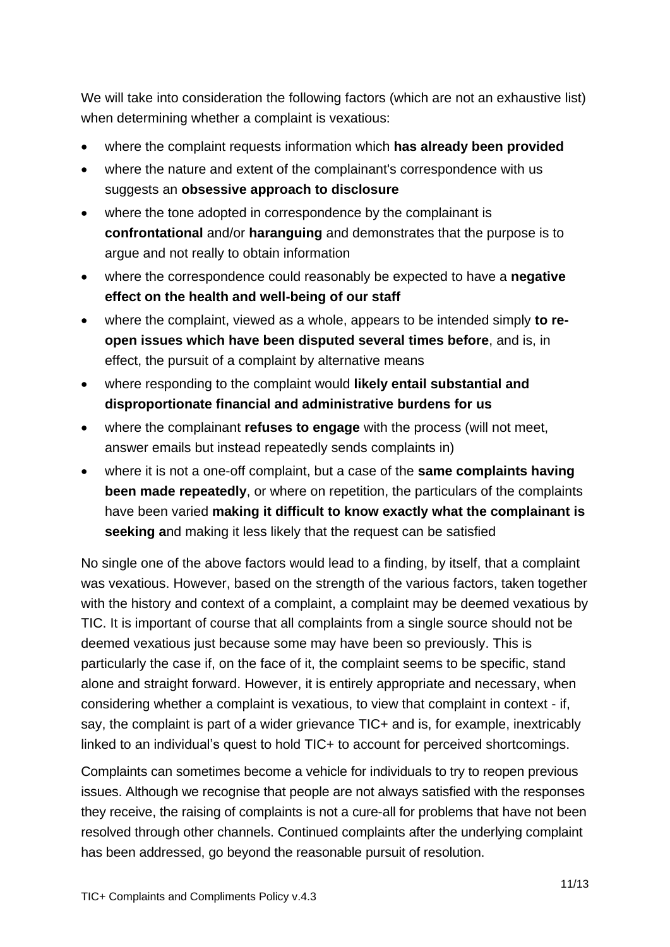We will take into consideration the following factors (which are not an exhaustive list) when determining whether a complaint is vexatious:

- where the complaint requests information which **has already been provided**
- where the nature and extent of the complainant's correspondence with us suggests an **obsessive approach to disclosure**
- where the tone adopted in correspondence by the complainant is **confrontational** and/or **haranguing** and demonstrates that the purpose is to argue and not really to obtain information
- where the correspondence could reasonably be expected to have a **negative effect on the health and well-being of our staff**
- where the complaint, viewed as a whole, appears to be intended simply **to reopen issues which have been disputed several times before**, and is, in effect, the pursuit of a complaint by alternative means
- where responding to the complaint would **likely entail substantial and disproportionate financial and administrative burdens for us**
- where the complainant **refuses to engage** with the process (will not meet, answer emails but instead repeatedly sends complaints in)
- where it is not a one-off complaint, but a case of the **same complaints having been made repeatedly**, or where on repetition, the particulars of the complaints have been varied **making it difficult to know exactly what the complainant is seeking a**nd making it less likely that the request can be satisfied

No single one of the above factors would lead to a finding, by itself, that a complaint was vexatious. However, based on the strength of the various factors, taken together with the history and context of a complaint, a complaint may be deemed vexatious by TIC. It is important of course that all complaints from a single source should not be deemed vexatious just because some may have been so previously. This is particularly the case if, on the face of it, the complaint seems to be specific, stand alone and straight forward. However, it is entirely appropriate and necessary, when considering whether a complaint is vexatious, to view that complaint in context - if, say, the complaint is part of a wider grievance TIC+ and is, for example, inextricably linked to an individual's quest to hold TIC+ to account for perceived shortcomings.

Complaints can sometimes become a vehicle for individuals to try to reopen previous issues. Although we recognise that people are not always satisfied with the responses they receive, the raising of complaints is not a cure-all for problems that have not been resolved through other channels. Continued complaints after the underlying complaint has been addressed, go beyond the reasonable pursuit of resolution.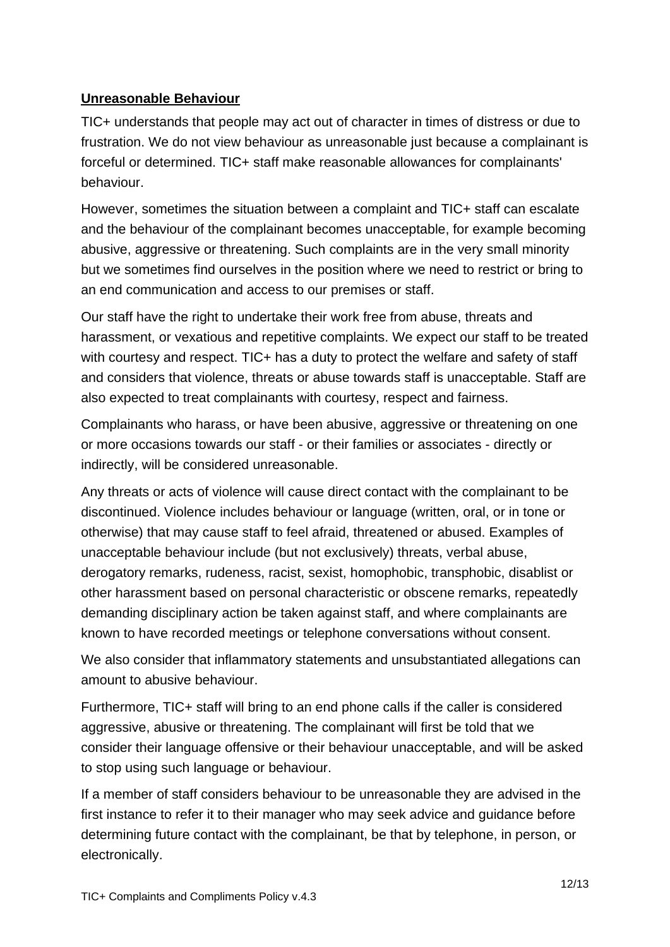## **Unreasonable Behaviour**

TIC+ understands that people may act out of character in times of distress or due to frustration. We do not view behaviour as unreasonable just because a complainant is forceful or determined. TIC+ staff make reasonable allowances for complainants' behaviour.

However, sometimes the situation between a complaint and TIC+ staff can escalate and the behaviour of the complainant becomes unacceptable, for example becoming abusive, aggressive or threatening. Such complaints are in the very small minority but we sometimes find ourselves in the position where we need to restrict or bring to an end communication and access to our premises or staff.

Our staff have the right to undertake their work free from abuse, threats and harassment, or vexatious and repetitive complaints. We expect our staff to be treated with courtesy and respect. TIC+ has a duty to protect the welfare and safety of staff and considers that violence, threats or abuse towards staff is unacceptable. Staff are also expected to treat complainants with courtesy, respect and fairness.

Complainants who harass, or have been abusive, aggressive or threatening on one or more occasions towards our staff - or their families or associates - directly or indirectly, will be considered unreasonable.

Any threats or acts of violence will cause direct contact with the complainant to be discontinued. Violence includes behaviour or language (written, oral, or in tone or otherwise) that may cause staff to feel afraid, threatened or abused. Examples of unacceptable behaviour include (but not exclusively) threats, verbal abuse, derogatory remarks, rudeness, racist, sexist, homophobic, transphobic, disablist or other harassment based on personal characteristic or obscene remarks, repeatedly demanding disciplinary action be taken against staff, and where complainants are known to have recorded meetings or telephone conversations without consent.

We also consider that inflammatory statements and unsubstantiated allegations can amount to abusive behaviour.

Furthermore, TIC+ staff will bring to an end phone calls if the caller is considered aggressive, abusive or threatening. The complainant will first be told that we consider their language offensive or their behaviour unacceptable, and will be asked to stop using such language or behaviour.

If a member of staff considers behaviour to be unreasonable they are advised in the first instance to refer it to their manager who may seek advice and guidance before determining future contact with the complainant, be that by telephone, in person, or electronically.